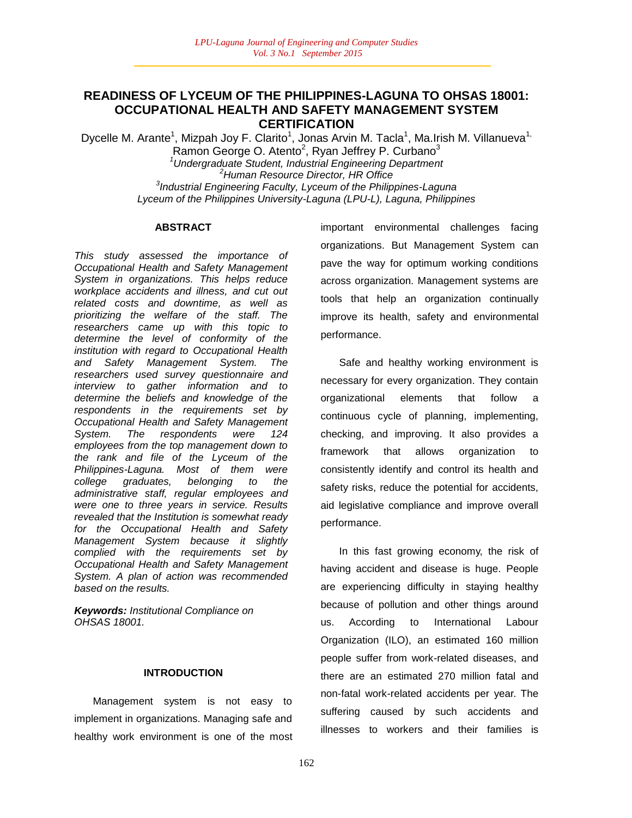## **READINESS OF LYCEUM OF THE PHILIPPINES-LAGUNA TO OHSAS 18001: OCCUPATIONAL HEALTH AND SAFETY MANAGEMENT SYSTEM CERTIFICATION**

Dycelle M. Arante<sup>1</sup>, Mizpah Joy F. Clarito<sup>1</sup>, Jonas Arvin M. Tacla<sup>1</sup>, Ma.Irish M. Villanueva<sup>1,</sup> Ramon George O. Atento<sup>2</sup>, Ryan Jeffrey P. Curbano<sup>3</sup> *<sup>1</sup>Undergraduate Student, Industrial Engineering Department <sup>2</sup>Human Resource Director, HR Office 3 Industrial Engineering Faculty, Lyceum of the Philippines-Laguna Lyceum of the Philippines University-Laguna (LPU-L), Laguna, Philippines*

## **ABSTRACT**

*This study assessed the importance of Occupational Health and Safety Management System in organizations. This helps reduce workplace accidents and illness, and cut out related costs and downtime, as well as prioritizing the welfare of the staff. The researchers came up with this topic to determine the level of conformity of the institution with regard to Occupational Health and Safety Management System. The researchers used survey questionnaire and interview to gather information and to determine the beliefs and knowledge of the respondents in the requirements set by Occupational Health and Safety Management System. The respondents were 124 employees from the top management down to the rank and file of the Lyceum of the Philippines-Laguna. Most of them were college graduates, belonging to the administrative staff, regular employees and were one to three years in service. Results revealed that the Institution is somewhat ready for the Occupational Health and Safety Management System because it slightly complied with the requirements set by Occupational Health and Safety Management System. A plan of action was recommended based on the results.*

*Keywords: Institutional Compliance on OHSAS 18001.*

## **INTRODUCTION**

Management system is not easy to implement in organizations. Managing safe and healthy work environment is one of the most important environmental challenges facing organizations. But Management System can pave the way for optimum working conditions across organization. Management systems are tools that help an organization continually improve its health, safety and environmental performance.

Safe and healthy working environment is necessary for every organization. They contain organizational elements that follow a continuous cycle of planning, implementing, checking, and improving. It also provides a framework that allows organization to consistently identify and control its health and safety risks, reduce the potential for accidents, aid legislative compliance and improve overall performance.

In this fast growing economy, the risk of having accident and disease is huge. People are experiencing difficulty in staying healthy because of pollution and other things around us. According to International Labour Organization (ILO), an estimated 160 million people suffer from work-related diseases, and there are an estimated 270 million fatal and non-fatal work-related accidents per year. The suffering caused by such accidents and illnesses to workers and their families is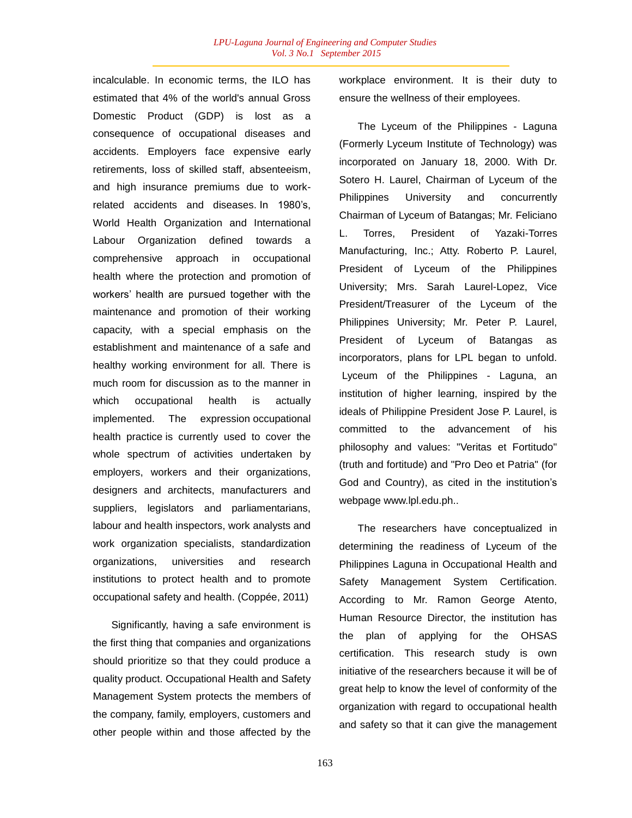incalculable. In economic terms, the ILO has estimated that 4% of the world's annual Gross Domestic Product (GDP) is lost as a consequence of occupational diseases and accidents. Employers face expensive early retirements, loss of skilled staff, absenteeism, and high insurance premiums due to workrelated accidents and diseases. In 1980"s, World Health Organization and International Labour Organization defined towards a comprehensive approach in occupational health where the protection and promotion of workers" health are pursued together with the maintenance and promotion of their working capacity, with a special emphasis on the establishment and maintenance of a safe and healthy working environment for all. There is much room for discussion as to the manner in which occupational health is actually implemented. The expression occupational health practice is currently used to cover the whole spectrum of activities undertaken by employers, workers and their organizations, designers and architects, manufacturers and suppliers, legislators and parliamentarians, labour and health inspectors, work analysts and work organization specialists, standardization organizations, universities and research institutions to protect health and to promote occupational safety and health. (Coppée, 2011)

Significantly, having a safe environment is the first thing that companies and organizations should prioritize so that they could produce a quality product. Occupational Health and Safety Management System protects the members of the company, family, employers, customers and other people within and those affected by the workplace environment. It is their duty to ensure the wellness of their employees.

The Lyceum of the Philippines - Laguna (Formerly Lyceum Institute of Technology) was incorporated on January 18, 2000. With Dr. Sotero H. Laurel, Chairman of Lyceum of the Philippines University and concurrently Chairman of Lyceum of Batangas; Mr. Feliciano L. Torres, President of Yazaki-Torres Manufacturing, Inc.; Atty. Roberto P. Laurel, President of Lyceum of the Philippines University; Mrs. Sarah Laurel-Lopez, Vice President/Treasurer of the Lyceum of the Philippines University; Mr. Peter P. Laurel, President of Lyceum of Batangas as incorporators, plans for LPL began to unfold. Lyceum of the Philippines - Laguna, an institution of higher learning, inspired by the ideals of Philippine President Jose P. Laurel, is committed to the advancement of his philosophy and values: "Veritas et Fortitudo" (truth and fortitude) and "Pro Deo et Patria" (for God and Country), as cited in the institution's webpage www.lpl.edu.ph..

The researchers have conceptualized in determining the readiness of Lyceum of the Philippines Laguna in Occupational Health and Safety Management System Certification. According to Mr. Ramon George Atento, Human Resource Director, the institution has the plan of applying for the OHSAS certification. This research study is own initiative of the researchers because it will be of great help to know the level of conformity of the organization with regard to occupational health and safety so that it can give the management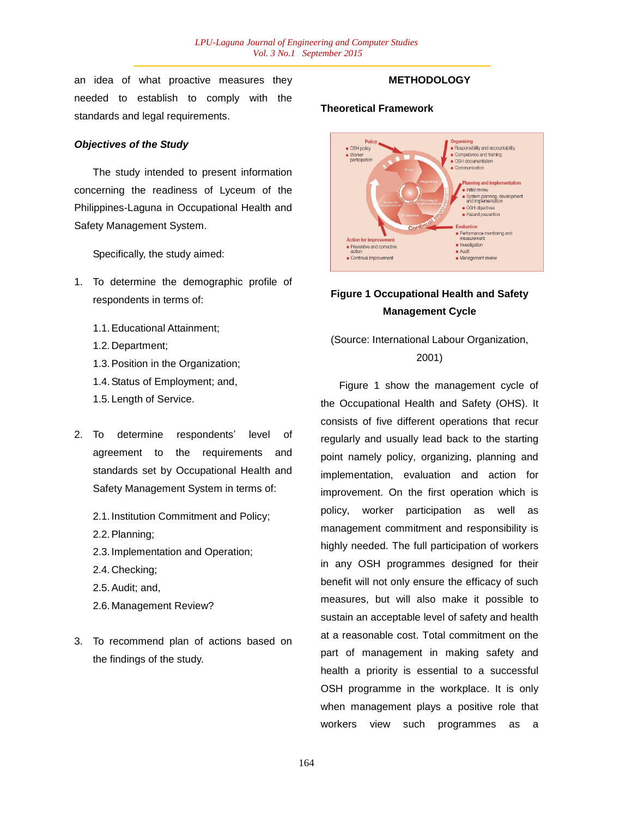an idea of what proactive measures they needed to establish to comply with the standards and legal requirements.

## *Objectives of the Study*

The study intended to present information concerning the readiness of Lyceum of the Philippines-Laguna in Occupational Health and Safety Management System.

Specifically, the study aimed:

- 1. To determine the demographic profile of respondents in terms of:
	- 1.1.Educational Attainment;
	- 1.2.Department;
	- 1.3.Position in the Organization;
	- 1.4.Status of Employment; and,
	- 1.5. Length of Service.
- 2. To determine respondents' level of agreement to the requirements and standards set by Occupational Health and Safety Management System in terms of:
	- 2.1. Institution Commitment and Policy;
	- 2.2.Planning;
	- 2.3. Implementation and Operation;
	- 2.4.Checking;
	- 2.5.Audit; and,
	- 2.6. Management Review?
- 3. To recommend plan of actions based on the findings of the study.

## **METHODOLOGY**

## **Theoretical Framework**



## **Figure 1 Occupational Health and Safety Management Cycle**

# (Source: International Labour Organization,

## 2001)

Figure 1 show the management cycle of the Occupational Health and Safety (OHS). It consists of five different operations that recur regularly and usually lead back to the starting point namely policy, organizing, planning and implementation, evaluation and action for improvement. On the first operation which is policy, worker participation as well as management commitment and responsibility is highly needed. The full participation of workers in any OSH programmes designed for their benefit will not only ensure the efficacy of such measures, but will also make it possible to sustain an acceptable level of safety and health at a reasonable cost. Total commitment on the part of management in making safety and health a priority is essential to a successful OSH programme in the workplace. It is only when management plays a positive role that workers view such programmes as a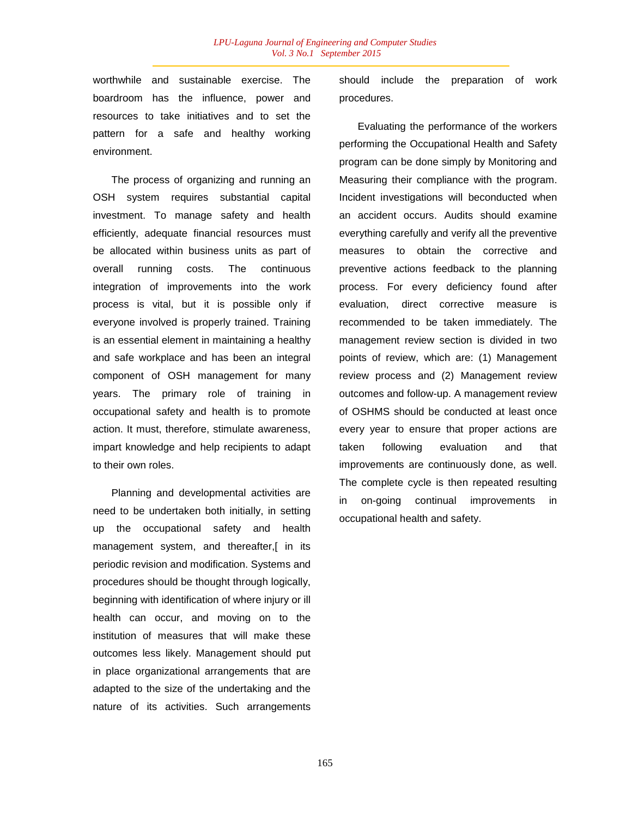worthwhile and sustainable exercise. The boardroom has the influence, power and resources to take initiatives and to set the pattern for a safe and healthy working environment.

The process of organizing and running an OSH system requires substantial capital investment. To manage safety and health efficiently, adequate financial resources must be allocated within business units as part of overall running costs. The continuous integration of improvements into the work process is vital, but it is possible only if everyone involved is properly trained. Training is an essential element in maintaining a healthy and safe workplace and has been an integral component of OSH management for many years. The primary role of training in occupational safety and health is to promote action. It must, therefore, stimulate awareness, impart knowledge and help recipients to adapt to their own roles.

Planning and developmental activities are need to be undertaken both initially, in setting up the occupational safety and health management system, and thereafter,[ in its periodic revision and modification. Systems and procedures should be thought through logically, beginning with identification of where injury or ill health can occur, and moving on to the institution of measures that will make these outcomes less likely. Management should put in place organizational arrangements that are adapted to the size of the undertaking and the nature of its activities. Such arrangements

should include the preparation of work procedures.

Evaluating the performance of the workers performing the Occupational Health and Safety program can be done simply by Monitoring and Measuring their compliance with the program. Incident investigations will beconducted when an accident occurs. Audits should examine everything carefully and verify all the preventive measures to obtain the corrective and preventive actions feedback to the planning process. For every deficiency found after evaluation, direct corrective measure is recommended to be taken immediately. The management review section is divided in two points of review, which are: (1) Management review process and (2) Management review outcomes and follow-up. A management review of OSHMS should be conducted at least once every year to ensure that proper actions are taken following evaluation and that improvements are continuously done, as well. The complete cycle is then repeated resulting in on-going continual improvements in occupational health and safety.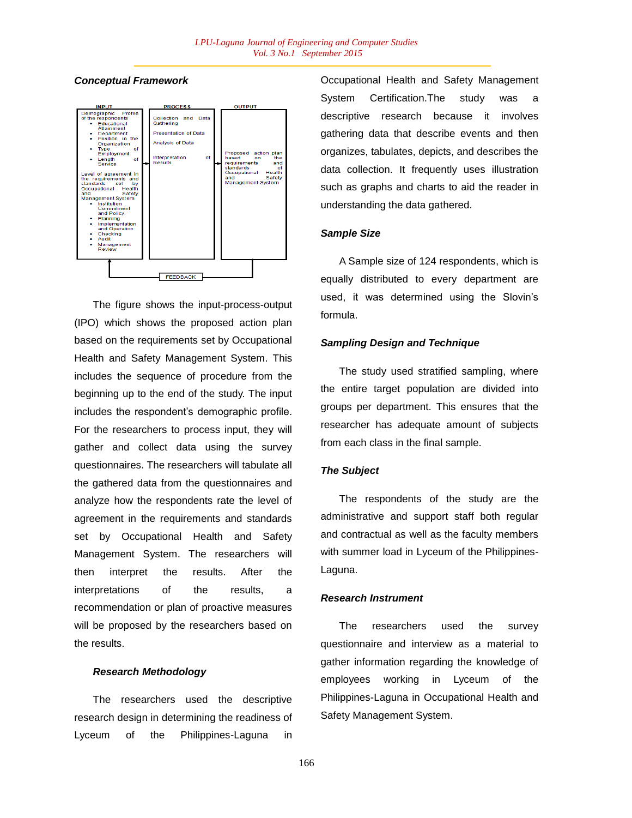## *Conceptual Framework*



The figure shows the input-process-output (IPO) which shows the proposed action plan based on the requirements set by Occupational Health and Safety Management System. This includes the sequence of procedure from the beginning up to the end of the study. The input includes the respondent"s demographic profile. For the researchers to process input, they will gather and collect data using the survey questionnaires. The researchers will tabulate all the gathered data from the questionnaires and analyze how the respondents rate the level of agreement in the requirements and standards set by Occupational Health and Safety Management System. The researchers will then interpret the results. After the interpretations of the results, a recommendation or plan of proactive measures will be proposed by the researchers based on the results.

## *Research Methodology*

The researchers used the descriptive research design in determining the readiness of Lyceum of the Philippines-Laguna in Occupational Health and Safety Management System Certification.The study was a descriptive research because it involves gathering data that describe events and then organizes, tabulates, depicts, and describes the data collection. It frequently uses illustration such as graphs and charts to aid the reader in understanding the data gathered.

## *Sample Size*

A Sample size of 124 respondents, which is equally distributed to every department are used, it was determined using the Slovin"s formula.

#### *Sampling Design and Technique*

The study used stratified sampling, where the entire target population are divided into groups per department. This ensures that the researcher has adequate amount of subjects from each class in the final sample.

#### *The Subject*

The respondents of the study are the administrative and support staff both regular and contractual as well as the faculty members with summer load in Lyceum of the Philippines-Laguna.

#### *Research Instrument*

The researchers used the survey questionnaire and interview as a material to gather information regarding the knowledge of employees working in Lyceum of the Philippines-Laguna in Occupational Health and Safety Management System.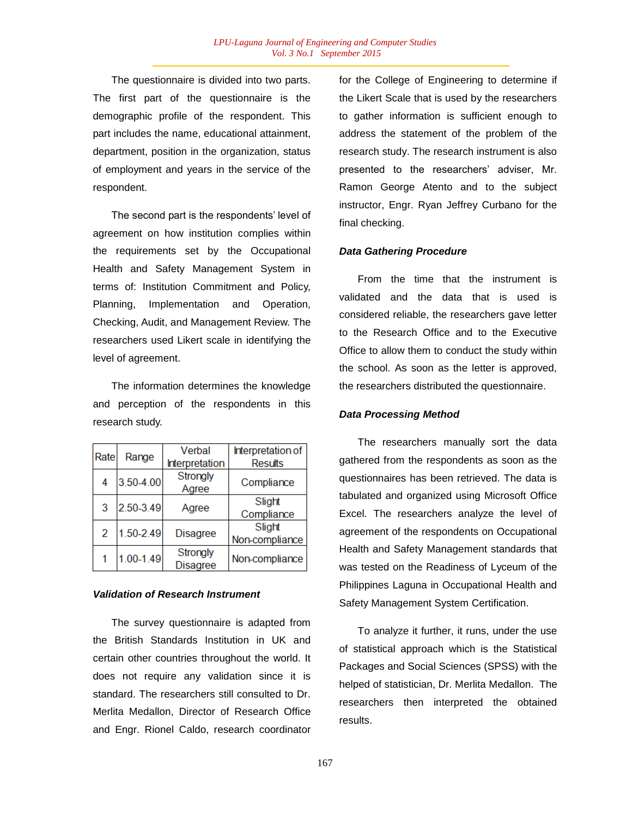The questionnaire is divided into two parts. The first part of the questionnaire is the demographic profile of the respondent. This part includes the name, educational attainment, department, position in the organization, status of employment and years in the service of the respondent.

The second part is the respondents' level of agreement on how institution complies within the requirements set by the Occupational Health and Safety Management System in terms of: Institution Commitment and Policy, Planning, Implementation and Operation, Checking, Audit, and Management Review. The researchers used Likert scale in identifying the level of agreement.

The information determines the knowledge and perception of the respondents in this research study.

| Rate | Range         | Verbal                      | Interpretation of        |
|------|---------------|-----------------------------|--------------------------|
|      |               | Interpretation              | <b>Results</b>           |
| 4    | $3.50 - 4.00$ | Strongly<br>Agree           | Compliance               |
| 3    | 2.50-3.49     | Agree                       | Slight<br>Compliance     |
| 2    | 1.50-2.49     | <b>Disagree</b>             | Slight<br>Non-compliance |
|      | 1.00-1.49     | Strongly<br><b>Disagree</b> | Non-compliance           |

## *Validation of Research Instrument*

The survey questionnaire is adapted from the British Standards Institution in UK and certain other countries throughout the world. It does not require any validation since it is standard. The researchers still consulted to Dr. Merlita Medallon, Director of Research Office and Engr. Rionel Caldo, research coordinator for the College of Engineering to determine if the Likert Scale that is used by the researchers to gather information is sufficient enough to address the statement of the problem of the research study. The research instrument is also presented to the researchers' adviser, Mr. Ramon George Atento and to the subject instructor, Engr. Ryan Jeffrey Curbano for the final checking.

## *Data Gathering Procedure*

From the time that the instrument is validated and the data that is used is considered reliable, the researchers gave letter to the Research Office and to the Executive Office to allow them to conduct the study within the school. As soon as the letter is approved, the researchers distributed the questionnaire.

## *Data Processing Method*

The researchers manually sort the data gathered from the respondents as soon as the questionnaires has been retrieved. The data is tabulated and organized using Microsoft Office Excel. The researchers analyze the level of agreement of the respondents on Occupational Health and Safety Management standards that was tested on the Readiness of Lyceum of the Philippines Laguna in Occupational Health and Safety Management System Certification.

To analyze it further, it runs, under the use of statistical approach which is the Statistical Packages and Social Sciences (SPSS) with the helped of statistician, Dr. Merlita Medallon. The researchers then interpreted the obtained results.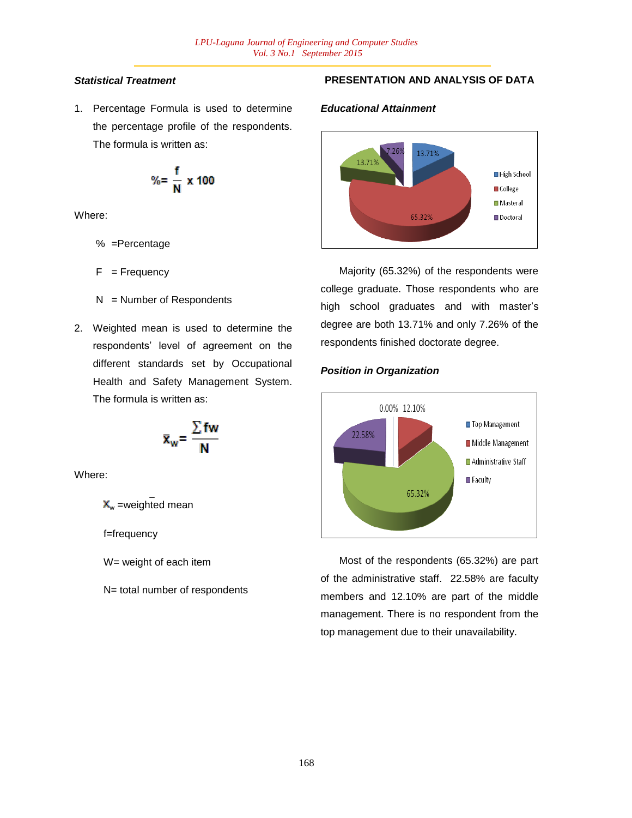## *Statistical Treatment*

1. Percentage Formula is used to determine the percentage profile of the respondents. The formula is written as:

$$
\% = \frac{f}{N} \times 100
$$

Where:

- % =Percentage
- $F = F$ requency
- $N =$  Number of Respondents
- 2. Weighted mean is used to determine the respondents" level of agreement on the different standards set by Occupational Health and Safety Management System. The formula is written as:

$$
\bar{\mathbf{x}}_{\mathbf{w}} = \frac{\sum \mathbf{f} \mathbf{w}}{\mathbf{N}}
$$

Where:

 $X_w$  =weighted mean

f=frequency

W= weight of each item

N= total number of respondents

## **PRESENTATION AND ANALYSIS OF DATA**

## *Educational Attainment*



Majority (65.32%) of the respondents were college graduate. Those respondents who are high school graduates and with master's degree are both 13.71% and only 7.26% of the respondents finished doctorate degree.

## *Position in Organization*



Most of the respondents (65.32%) are part of the administrative staff. 22.58% are faculty members and 12.10% are part of the middle management. There is no respondent from the top management due to their unavailability.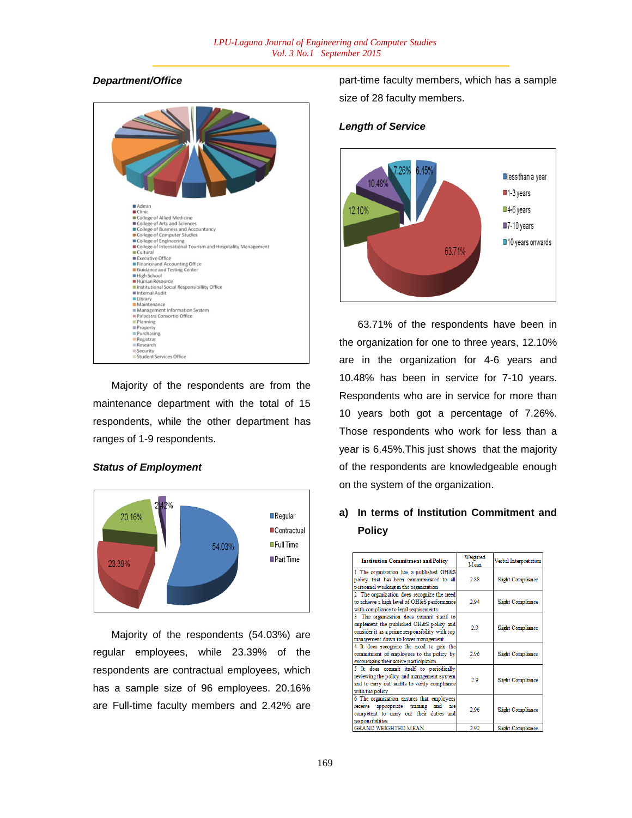## *Department/Office*



Majority of the respondents are from the maintenance department with the total of 15 respondents, while the other department has ranges of 1-9 respondents.

*Status of Employment*

## 20.16% Regular Contractual ■Full Time 54.03% Part Time 23.39%

Majority of the respondents (54.03%) are regular employees, while 23.39% of the respondents are contractual employees, which has a sample size of 96 employees. 20.16% are Full-time faculty members and 2.42% are part-time faculty members, which has a sample size of 28 faculty members.





63.71% of the respondents have been in the organization for one to three years, 12.10% are in the organization for 4-6 years and 10.48% has been in service for 7-10 years. Respondents who are in service for more than 10 years both got a percentage of 7.26%. Those respondents who work for less than a year is 6.45%.This just shows that the majority of the respondents are knowledgeable enough on the system of the organization.

## **a) In terms of Institution Commitment and Policy**

| <b>Institution Commitment and Policy</b>                                                                                                                                      | Weighted<br>Mean | Verbal Interpretation |
|-------------------------------------------------------------------------------------------------------------------------------------------------------------------------------|------------------|-----------------------|
| 1 The organization has a published OH&S<br>policy that has been communicated to all<br>personnel working in the organization                                                  | 2.88             | Slight Compliance     |
| 2 The organization does recognize the need<br>to achieve a high level of OH&S performance<br>with compliance to legal requirements.                                           | 2.94             | Slight Compliance     |
| 3 The organization does commit itself to<br>implement the published OH&S policy and<br>consider it as a prime responsibility with top<br>management down to lower management. | 2.9              | Slight Compliance     |
| 4 It does recognize the need to gain the<br>commitment of employees to the policy by<br>encouraging their active participation.                                               | 2.96             | Slight Compliance     |
| 5 It does commit itself to periodically<br>reviewing the policy and management system<br>and to carry out audits to verify compliance<br>with the policy                      | 2.9              | Slight Compliance     |
| 6 The organization ensures that employees<br>receive appropriate training and<br>are<br>competent to carry out their duties and<br>responsibilities                           | 2.96             | Slight Compliance     |
| <b>GRAND WEIGHTED MEAN</b>                                                                                                                                                    | 2.92             | Slight Compliance     |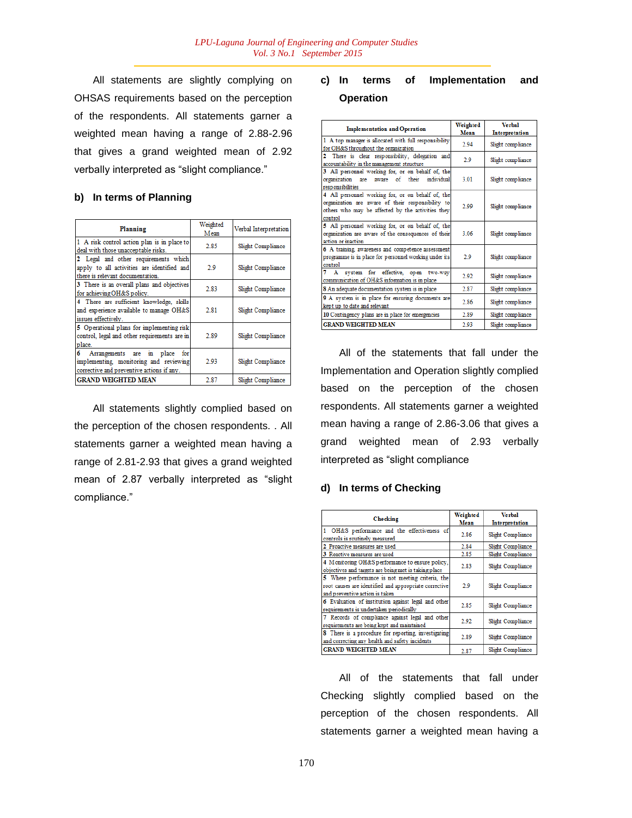All statements are slightly complying on OHSAS requirements based on the perception of the respondents. All statements garner a weighted mean having a range of 2.88-2.96 that gives a grand weighted mean of 2.92 verbally interpreted as "slight compliance."

#### **b) In terms of Planning**

| Planning                                                                                                                     | Weighted<br>Mean | Verbal Interpretation |
|------------------------------------------------------------------------------------------------------------------------------|------------------|-----------------------|
| 1 A risk control action plan is in place to<br>deal with those unacceptable risks.                                           | 2.85             | Slight Compliance     |
| 2 Legal and other requirements which<br>apply to all activities are identified and<br>there is relevant documentation.       | 2.9              | Slight Compliance     |
| 3 There is an overall plans and objectives<br>for achieving OH&S policy.                                                     | 2.83             | Slight Compliance     |
| 4 There are sufficient knowledge, skills<br>and experience available to manage OH&S<br>issues effectively.                   | 2.81             | Slight Compliance     |
| 5 Operational plans for implementing risk<br>control, legal and other requirements are in<br>place.                          | 2.89             | Slight Compliance     |
| 6<br>Arrangements are in place<br>for<br>implementing, monitoring and reviewing<br>corrective and preventive actions if any. | 2.93             | Slight Compliance     |
| <b>GRAND WEIGHTED MEAN</b>                                                                                                   | 2.87             | Slight Compliance     |

All statements slightly complied based on the perception of the chosen respondents. . All statements garner a weighted mean having a range of 2.81-2.93 that gives a grand weighted mean of 2.87 verbally interpreted as "slight compliance."

## **c) In terms of Implementation and Operation**

| <b>Implementation and Operation</b>                                                                                                                                    | Weighted<br>Mean | <b>Verhal</b><br><b>Interpretation</b> |
|------------------------------------------------------------------------------------------------------------------------------------------------------------------------|------------------|----------------------------------------|
| 1 A top manager is allocated with full responsibility<br>for OH&S throughout the organization                                                                          | 2.94             | Slight compliance                      |
| 2 There is clear responsibility, delegation and<br>accountability in the management structure                                                                          | 2.9              | Slight compliance                      |
| 3 All personnel working for, or on behalf of, the<br>organization are aware of their<br>individual<br><b>responsibilities</b>                                          | 3.01             | Slight compliance                      |
| 4 All personnel working for, or on behalf of, the<br>organization are aware of their responsibility to<br>others who may be affected by the activities they<br>control | 2.99             | Slight compliance                      |
| 5 All personnel working for, or on behalf of, the<br>organization are aware of the consequences of their<br>action or inaction                                         | 3.06             | Slight compliance                      |
| 6 A training, awareness and competence assessment<br>programme is in place for personnel working under its<br>control                                                  | 2.9              | Slight compliance                      |
| system for effective, open two-way<br>7.<br>A<br>communication of OH&S information is in place                                                                         | 2.92             | Slight compliance                      |
| 8 An adequate documentation system is in place                                                                                                                         | 2.87             | Slight compliance                      |
| 9 A system is in place for ensuring documents are<br>kept up to date and relevant                                                                                      | 2.86             | Slight compliance                      |
| 10 Contingency plans are in place for emergencies                                                                                                                      | 2.89             | Slight compliance                      |
| <b>GRAND WEIGHTED MEAN</b>                                                                                                                                             | 2.93             | Slight compliance                      |

All of the statements that fall under the Implementation and Operation slightly complied based on the perception of the chosen respondents. All statements garner a weighted mean having a range of 2.86-3.06 that gives a grand weighted mean of 2.93 verbally interpreted as "slight compliance

## **d) In terms of Checking**

| Checking                                                                                                                                    | Weighted<br>Mean | <b>Verbal</b><br>Interpretation |
|---------------------------------------------------------------------------------------------------------------------------------------------|------------------|---------------------------------|
| 1.<br>OH&S performance and the effectiveness of<br>controls is routinely measured                                                           | 2.86             | Slight Compliance               |
| 2 Proactive measures are used                                                                                                               | 2.84             | Slight Compliance               |
| 3 Reactive measures are used                                                                                                                | 2.85             | Slight Compliance               |
| 4 Monitoring OH&S performance to ensure policy.<br>objectives and targets are being met is taking place                                     | 2.83             | Slight Compliance               |
| 5 Where performance is not meeting criteria, the<br>root causes are identified and appropriate corrective<br>and preventive action is taken | 2.9              | Slight Compliance               |
| 6 Evaluation of institution against legal and other<br>requirements is undertaken periodically                                              | 2.85             | Slight Compliance               |
| 7 Records of compliance against legal and other<br>requirements are being kept and maintained                                               | 2.92             | Slight Compliance               |
| 8 There is a procedure for reporting, investigating<br>and correcting any health and safety incidents                                       | 2.89             | Slight Compliance               |
| <b>GRAND WEIGHTED MEAN</b>                                                                                                                  | 2.87             | Slight Compliance               |

All of the statements that fall under Checking slightly complied based on the perception of the chosen respondents. All statements garner a weighted mean having a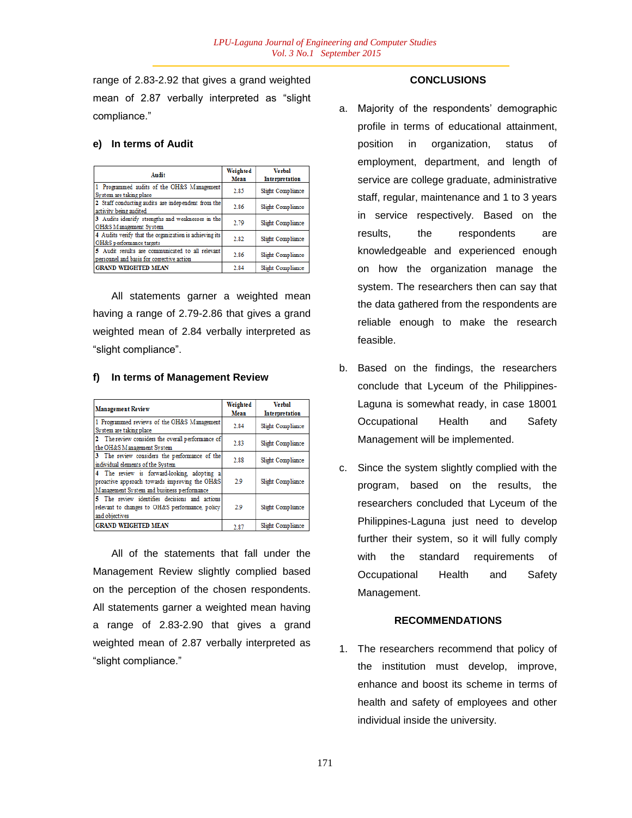range of 2.83-2.92 that gives a grand weighted mean of 2.87 verbally interpreted as "slight compliance."

#### **e) In terms of Audit**

| Audit                                                                                         | Weighted<br>Mean | <b>Verbal</b><br>Interpretation |
|-----------------------------------------------------------------------------------------------|------------------|---------------------------------|
| Programmed audits of the OH&S Management<br>System are taking place                           | 2.85             | Slight Compliance               |
| 2 Staff conducting audits are independent from the<br>activity being audited                  | 2.86             | Slight Compliance               |
| 3 Audits identify strengths and weaknesses in the<br>OH&S Management System                   | 2.79             | Slight Compliance               |
| 4 Audits verify that the organization is achieving its<br>OH&S performance targets            | 2.82             | Slight Compliance               |
| 5 Audit results are communicated to all relevant<br>personnel and basis for corrective action | 2.86             | Slight Compliance               |
| <b>GRAND WEIGHTED MEAN</b>                                                                    | 2.84             | Slight Compliance               |

All statements garner a weighted mean having a range of 2.79-2.86 that gives a grand weighted mean of 2.84 verbally interpreted as "slight compliance".

## **f) In terms of Management Review**

| <b>Management Review</b>                                                                                                                   | Weighted<br>Mean | <b>Verbal</b><br>Interpretation |
|--------------------------------------------------------------------------------------------------------------------------------------------|------------------|---------------------------------|
| 1 Programmed reviews of the OH&S Management<br>System are taking place                                                                     | 2.84             | Slight Compliance               |
| 2 The review considers the overall performance of<br>the OH&S Management System                                                            | 2.83             | Slight Compliance               |
| 3 The review considers the performance of the<br>individual elements of the System                                                         | 2.88             | Slight Compliance               |
| 4 The review is forward-looking, adopting a<br>proactive approach towards improving the OH&S<br>Management System and business performance | 2.9              | Slight Compliance               |
| 5 The review identifies decisions and actions<br>relevant to changes to OH&S performance, policy<br>and objectives                         | 2.9              | Slight Compliance               |
| <b>GRAND WEIGHTED MEAN</b>                                                                                                                 | 2.87             | Slight Compliance               |

All of the statements that fall under the Management Review slightly complied based on the perception of the chosen respondents. All statements garner a weighted mean having a range of 2.83-2.90 that gives a grand weighted mean of 2.87 verbally interpreted as "slight compliance."

## **CONCLUSIONS**

- a. Majority of the respondents' demographic profile in terms of educational attainment, position in organization, status of employment, department, and length of service are college graduate, administrative staff, regular, maintenance and 1 to 3 years in service respectively. Based on the results, the respondents are knowledgeable and experienced enough on how the organization manage the system. The researchers then can say that the data gathered from the respondents are reliable enough to make the research feasible.
- b. Based on the findings, the researchers conclude that Lyceum of the Philippines-Laguna is somewhat ready, in case 18001 Occupational Health and Safety Management will be implemented.
- c. Since the system slightly complied with the program, based on the results, the researchers concluded that Lyceum of the Philippines-Laguna just need to develop further their system, so it will fully comply with the standard requirements of Occupational Health and Safety Management.

## **RECOMMENDATIONS**

1. The researchers recommend that policy of the institution must develop, improve, enhance and boost its scheme in terms of health and safety of employees and other individual inside the university.